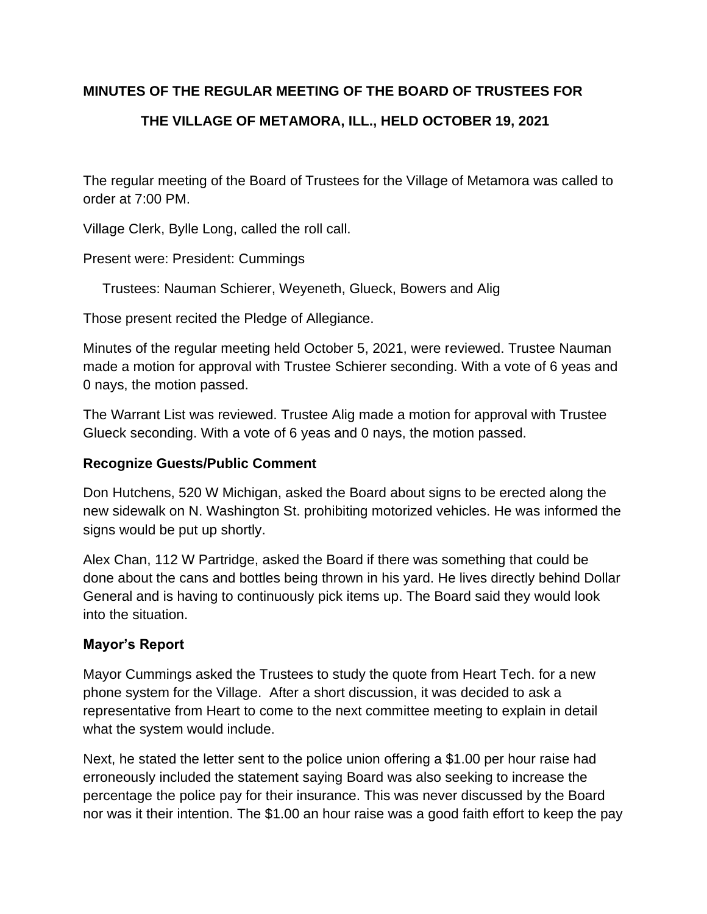## **MINUTES OF THE REGULAR MEETING OF THE BOARD OF TRUSTEES FOR**

## **THE VILLAGE OF METAMORA, ILL., HELD OCTOBER 19, 2021**

The regular meeting of the Board of Trustees for the Village of Metamora was called to order at 7:00 PM.

Village Clerk, Bylle Long, called the roll call.

Present were: President: Cummings

Trustees: Nauman Schierer, Weyeneth, Glueck, Bowers and Alig

Those present recited the Pledge of Allegiance.

Minutes of the regular meeting held October 5, 2021, were reviewed. Trustee Nauman made a motion for approval with Trustee Schierer seconding. With a vote of 6 yeas and 0 nays, the motion passed.

The Warrant List was reviewed. Trustee Alig made a motion for approval with Trustee Glueck seconding. With a vote of 6 yeas and 0 nays, the motion passed.

### **Recognize Guests/Public Comment**

Don Hutchens, 520 W Michigan, asked the Board about signs to be erected along the new sidewalk on N. Washington St. prohibiting motorized vehicles. He was informed the signs would be put up shortly.

Alex Chan, 112 W Partridge, asked the Board if there was something that could be done about the cans and bottles being thrown in his yard. He lives directly behind Dollar General and is having to continuously pick items up. The Board said they would look into the situation.

## **Mayor's Report**

Mayor Cummings asked the Trustees to study the quote from Heart Tech. for a new phone system for the Village. After a short discussion, it was decided to ask a representative from Heart to come to the next committee meeting to explain in detail what the system would include.

Next, he stated the letter sent to the police union offering a \$1.00 per hour raise had erroneously included the statement saying Board was also seeking to increase the percentage the police pay for their insurance. This was never discussed by the Board nor was it their intention. The \$1.00 an hour raise was a good faith effort to keep the pay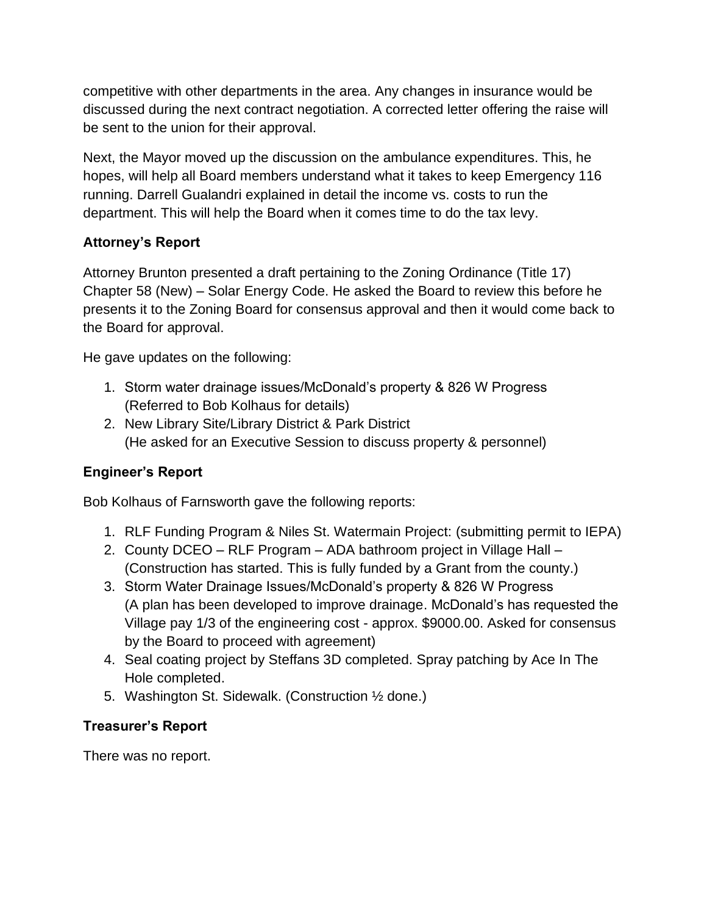competitive with other departments in the area. Any changes in insurance would be discussed during the next contract negotiation. A corrected letter offering the raise will be sent to the union for their approval.

Next, the Mayor moved up the discussion on the ambulance expenditures. This, he hopes, will help all Board members understand what it takes to keep Emergency 116 running. Darrell Gualandri explained in detail the income vs. costs to run the department. This will help the Board when it comes time to do the tax levy.

# **Attorney's Report**

Attorney Brunton presented a draft pertaining to the Zoning Ordinance (Title 17) Chapter 58 (New) – Solar Energy Code. He asked the Board to review this before he presents it to the Zoning Board for consensus approval and then it would come back to the Board for approval.

He gave updates on the following:

- 1. Storm water drainage issues/McDonald's property & 826 W Progress (Referred to Bob Kolhaus for details)
- 2. New Library Site/Library District & Park District (He asked for an Executive Session to discuss property & personnel)

## **Engineer's Report**

Bob Kolhaus of Farnsworth gave the following reports:

- 1. RLF Funding Program & Niles St. Watermain Project: (submitting permit to IEPA)
- 2. County DCEO RLF Program ADA bathroom project in Village Hall (Construction has started. This is fully funded by a Grant from the county.)
- 3. Storm Water Drainage Issues/McDonald's property & 826 W Progress (A plan has been developed to improve drainage. McDonald's has requested the Village pay 1/3 of the engineering cost - approx. \$9000.00. Asked for consensus by the Board to proceed with agreement)
- 4. Seal coating project by Steffans 3D completed. Spray patching by Ace In The Hole completed.
- 5. Washington St. Sidewalk. (Construction ½ done.)

## **Treasurer's Report**

There was no report.